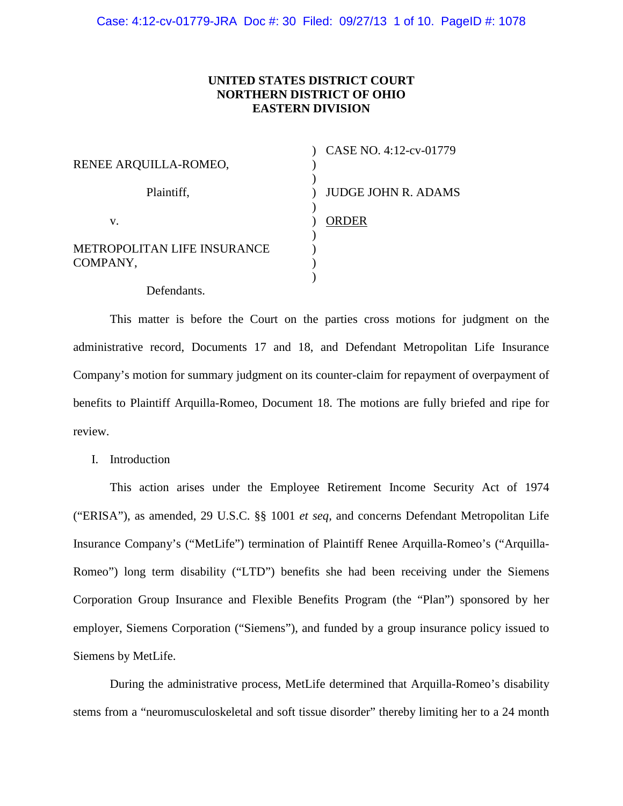## **UNITED STATES DISTRICT COURT NORTHERN DISTRICT OF OHIO EASTERN DIVISION**

| RENEE ARQUILLA-ROMEO,                   | CASE NO. 4:12-cv-01779     |
|-----------------------------------------|----------------------------|
| Plaintiff,                              | <b>JUDGE JOHN R. ADAMS</b> |
| v.                                      | <b>ORDER</b>               |
| METROPOLITAN LIFE INSURANCE<br>COMPANY, |                            |
| Defendants.                             |                            |

This matter is before the Court on the parties cross motions for judgment on the administrative record, Documents 17 and 18, and Defendant Metropolitan Life Insurance Company's motion for summary judgment on its counter-claim for repayment of overpayment of benefits to Plaintiff Arquilla-Romeo, Document 18. The motions are fully briefed and ripe for review.

I. Introduction

This action arises under the Employee Retirement Income Security Act of 1974 ("ERISA"), as amended, 29 U.S.C. §§ 1001 *et seq,* and concerns Defendant Metropolitan Life Insurance Company's ("MetLife") termination of Plaintiff Renee Arquilla-Romeo's ("Arquilla-Romeo") long term disability ("LTD") benefits she had been receiving under the Siemens Corporation Group Insurance and Flexible Benefits Program (the "Plan") sponsored by her employer, Siemens Corporation ("Siemens"), and funded by a group insurance policy issued to Siemens by MetLife.

During the administrative process, MetLife determined that Arquilla-Romeo's disability stems from a "neuromusculoskeletal and soft tissue disorder" thereby limiting her to a 24 month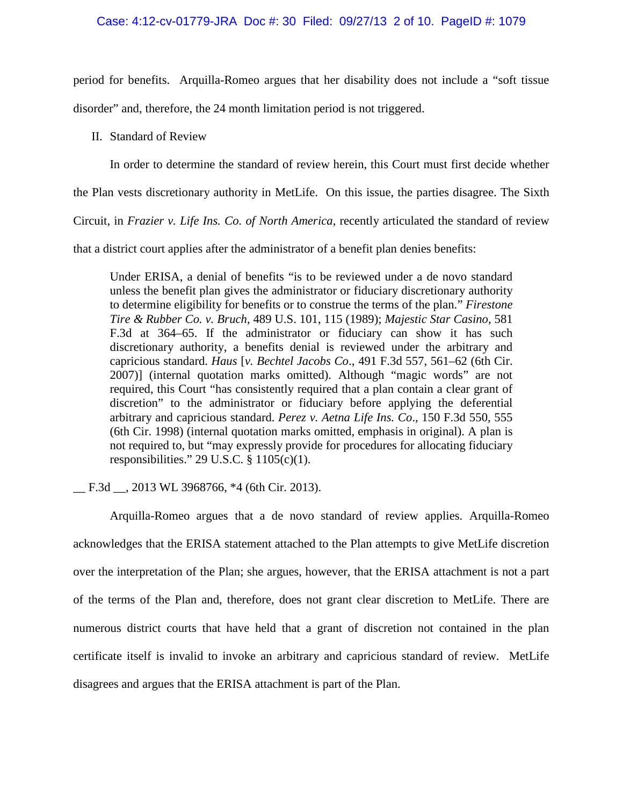### Case: 4:12-cv-01779-JRA Doc #: 30 Filed: 09/27/13 2 of 10. PageID #: 1079

period for benefits. Arquilla-Romeo argues that her disability does not include a "soft tissue disorder" and, therefore, the 24 month limitation period is not triggered.

II. Standard of Review

In order to determine the standard of review herein, this Court must first decide whether

the Plan vests discretionary authority in MetLife. On this issue, the parties disagree. The Sixth

Circuit, in *Frazier v. Life Ins. Co. of North America*, recently articulated the standard of review

that a district court applies after the administrator of a benefit plan denies benefits:

Under ERISA, a denial of benefits "is to be reviewed under a de novo standard unless the benefit plan gives the administrator or fiduciary discretionary authority to determine eligibility for benefits or to construe the terms of the plan." *Firestone Tire & Rubber Co. v. Bruch*, 489 U.S. 101, 115 (1989); *Majestic Star Casino*, 581 F.3d at 364–65. If the administrator or fiduciary can show it has such discretionary authority, a benefits denial is reviewed under the arbitrary and capricious standard. *Haus* [*v. Bechtel Jacobs Co*., 491 F.3d 557, 561–62 (6th Cir. 2007)] (internal quotation marks omitted). Although "magic words" are not required, this Court "has consistently required that a plan contain a clear grant of discretion" to the administrator or fiduciary before applying the deferential arbitrary and capricious standard. *Perez v. Aetna Life Ins. Co*., 150 F.3d 550, 555 (6th Cir. 1998) (internal quotation marks omitted, emphasis in original). A plan is not required to, but "may expressly provide for procedures for allocating fiduciary responsibilities." 29 U.S.C.  $\S$  1105(c)(1).

\_\_ F.3d \_\_, 2013 WL 3968766, \*4 (6th Cir. 2013).

Arquilla-Romeo argues that a de novo standard of review applies. Arquilla-Romeo acknowledges that the ERISA statement attached to the Plan attempts to give MetLife discretion over the interpretation of the Plan; she argues, however, that the ERISA attachment is not a part of the terms of the Plan and, therefore, does not grant clear discretion to MetLife. There are numerous district courts that have held that a grant of discretion not contained in the plan certificate itself is invalid to invoke an arbitrary and capricious standard of review. MetLife disagrees and argues that the ERISA attachment is part of the Plan.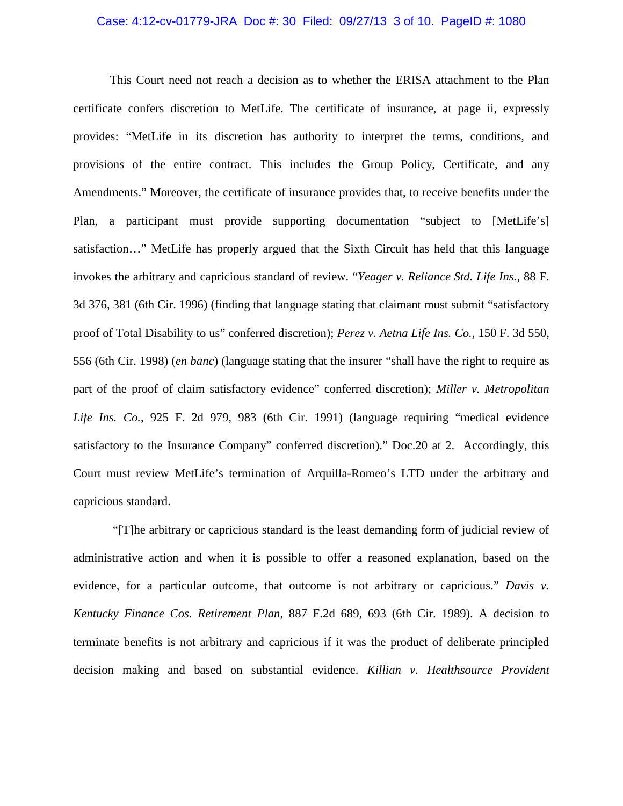### Case: 4:12-cv-01779-JRA Doc #: 30 Filed: 09/27/13 3 of 10. PageID #: 1080

This Court need not reach a decision as to whether the ERISA attachment to the Plan certificate confers discretion to MetLife. The certificate of insurance, at page ii, expressly provides: "MetLife in its discretion has authority to interpret the terms, conditions, and provisions of the entire contract. This includes the Group Policy, Certificate, and any Amendments." Moreover, the certificate of insurance provides that, to receive benefits under the Plan, a participant must provide supporting documentation "subject to [MetLife's] satisfaction…" MetLife has properly argued that the Sixth Circuit has held that this language invokes the arbitrary and capricious standard of review. "*Yeager v. Reliance Std. Life Ins.*, 88 F. 3d 376, 381 (6th Cir. 1996) (finding that language stating that claimant must submit "satisfactory proof of Total Disability to us" conferred discretion); *Perez v. Aetna Life Ins. Co.*, 150 F. 3d 550, 556 (6th Cir. 1998) (*en banc*) (language stating that the insurer "shall have the right to require as part of the proof of claim satisfactory evidence" conferred discretion); *Miller v. Metropolitan Life Ins. Co.*, 925 F. 2d 979, 983 (6th Cir. 1991) (language requiring "medical evidence satisfactory to the Insurance Company" conferred discretion)." Doc.20 at 2. Accordingly, this Court must review MetLife's termination of Arquilla-Romeo's LTD under the arbitrary and capricious standard.

"[T]he arbitrary or capricious standard is the least demanding form of judicial review of administrative action and when it is possible to offer a reasoned explanation, based on the evidence, for a particular outcome, that outcome is not arbitrary or capricious." *Davis v. Kentucky Finance Cos. Retirement Plan*, 887 F.2d 689, 693 (6th Cir. 1989). A decision to terminate benefits is not arbitrary and capricious if it was the product of deliberate principled decision making and based on substantial evidence. *Killian v. Healthsource Provident*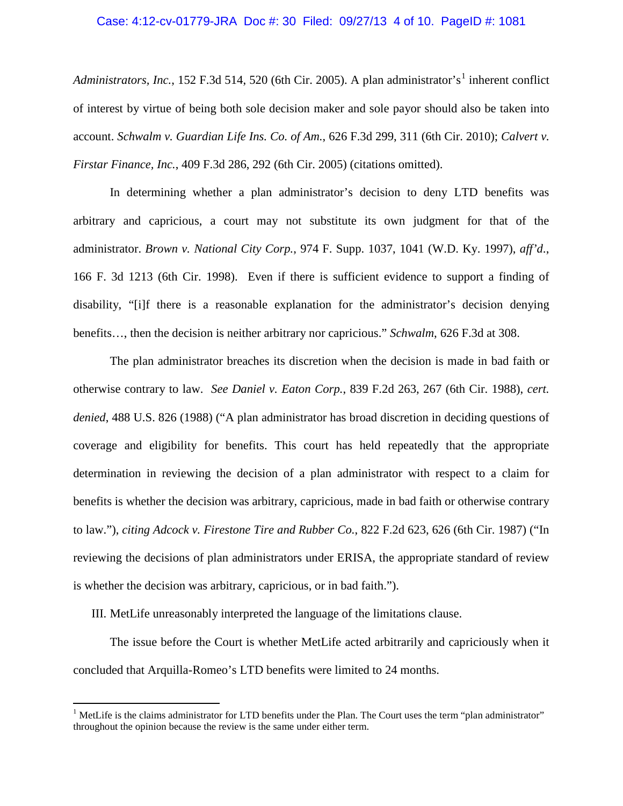### Case: 4:12-cv-01779-JRA Doc #: 30 Filed: 09/27/13 4 of 10. PageID #: 1081

*Administrators, Inc.,* [1](#page-3-0)52 F.3d 514, 520 (6th Cir. 2005). A plan administrator's<sup>1</sup> inherent conflict of interest by virtue of being both sole decision maker and sole payor should also be taken into account. *Schwalm v. Guardian Life Ins. Co. of Am.*, 626 F.3d 299, 311 (6th Cir. 2010); *Calvert v. Firstar Finance, Inc.*, 409 F.3d 286, 292 (6th Cir. 2005) (citations omitted).

In determining whether a plan administrator's decision to deny LTD benefits was arbitrary and capricious, a court may not substitute its own judgment for that of the administrator. *Brown v. National City Corp.*, 974 F. Supp. 1037, 1041 (W.D. Ky. 1997), *aff'd*., 166 F. 3d 1213 (6th Cir. 1998). Even if there is sufficient evidence to support a finding of disability, "[i]f there is a reasonable explanation for the administrator's decision denying benefits…, then the decision is neither arbitrary nor capricious." *Schwalm*, 626 F.3d at 308.

The plan administrator breaches its discretion when the decision is made in bad faith or otherwise contrary to law. *See Daniel v. Eaton Corp.*, 839 F.2d 263, 267 (6th Cir. 1988), *cert. denied*, 488 U.S. 826 (1988) ("A plan administrator has broad discretion in deciding questions of coverage and eligibility for benefits. This court has held repeatedly that the appropriate determination in reviewing the decision of a plan administrator with respect to a claim for benefits is whether the decision was arbitrary, capricious, made in bad faith or otherwise contrary to law."), *citing Adcock v. Firestone Tire and Rubber Co.*, 822 F.2d 623, 626 (6th Cir. 1987) ("In reviewing the decisions of plan administrators under ERISA, the appropriate standard of review is whether the decision was arbitrary, capricious, or in bad faith.").

III. MetLife unreasonably interpreted the language of the limitations clause.

 $\overline{a}$ 

The issue before the Court is whether MetLife acted arbitrarily and capriciously when it concluded that Arquilla-Romeo's LTD benefits were limited to 24 months.

<span id="page-3-0"></span><sup>&</sup>lt;sup>1</sup> MetLife is the claims administrator for LTD benefits under the Plan. The Court uses the term "plan administrator" throughout the opinion because the review is the same under either term.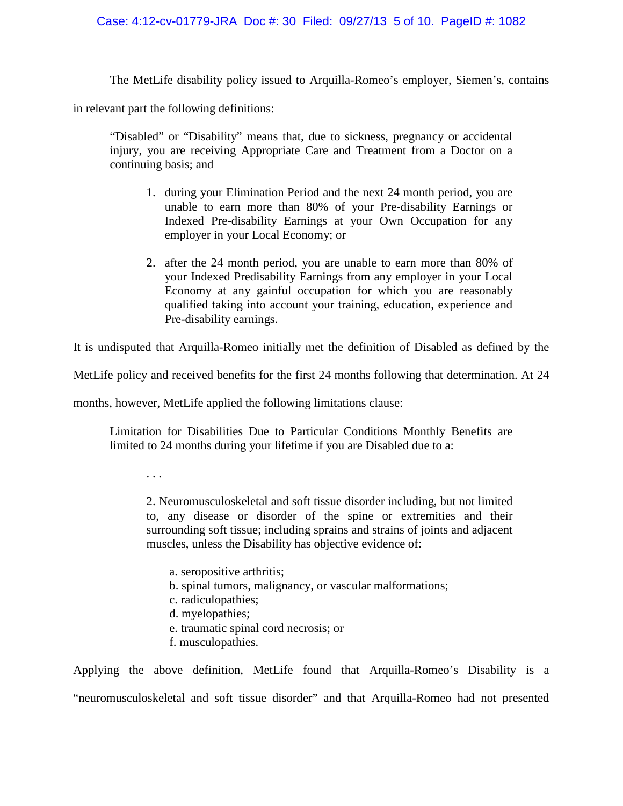### Case: 4:12-cv-01779-JRA Doc #: 30 Filed: 09/27/13 5 of 10. PageID #: 1082

The MetLife disability policy issued to Arquilla-Romeo's employer, Siemen's, contains

in relevant part the following definitions:

"Disabled" or "Disability" means that, due to sickness, pregnancy or accidental injury, you are receiving Appropriate Care and Treatment from a Doctor on a continuing basis; and

- 1. during your Elimination Period and the next 24 month period, you are unable to earn more than 80% of your Pre-disability Earnings or Indexed Pre-disability Earnings at your Own Occupation for any employer in your Local Economy; or
- 2. after the 24 month period, you are unable to earn more than 80% of your Indexed Predisability Earnings from any employer in your Local Economy at any gainful occupation for which you are reasonably qualified taking into account your training, education, experience and Pre-disability earnings.

It is undisputed that Arquilla-Romeo initially met the definition of Disabled as defined by the

MetLife policy and received benefits for the first 24 months following that determination. At 24

months, however, MetLife applied the following limitations clause:

Limitation for Disabilities Due to Particular Conditions Monthly Benefits are limited to 24 months during your lifetime if you are Disabled due to a:

. . .

2. Neuromusculoskeletal and soft tissue disorder including, but not limited to, any disease or disorder of the spine or extremities and their surrounding soft tissue; including sprains and strains of joints and adjacent muscles, unless the Disability has objective evidence of:

a. seropositive arthritis; b. spinal tumors, malignancy, or vascular malformations; c. radiculopathies; d. myelopathies; e. traumatic spinal cord necrosis; or f. musculopathies.

Applying the above definition, MetLife found that Arquilla-Romeo's Disability is a "neuromusculoskeletal and soft tissue disorder" and that Arquilla-Romeo had not presented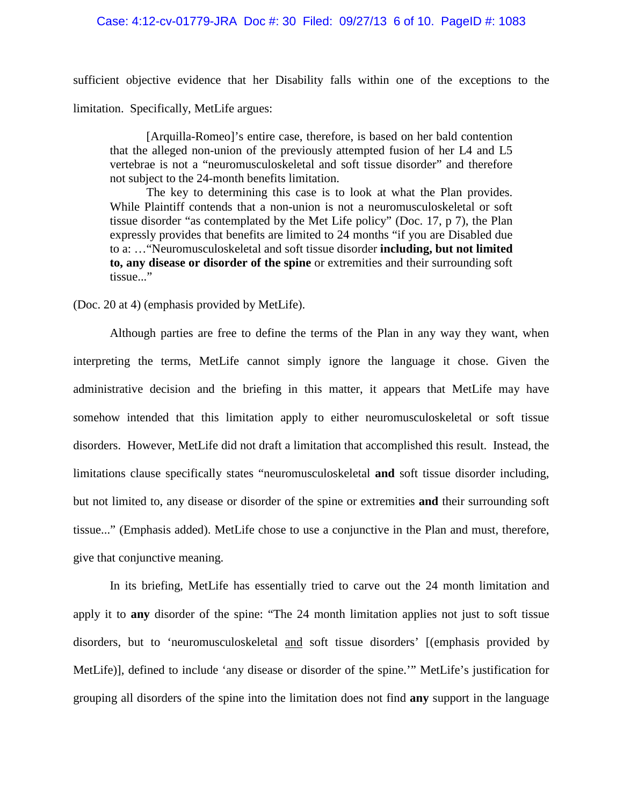### Case: 4:12-cv-01779-JRA Doc #: 30 Filed: 09/27/13 6 of 10. PageID #: 1083

sufficient objective evidence that her Disability falls within one of the exceptions to the limitation. Specifically, MetLife argues:

[Arquilla-Romeo]'s entire case, therefore, is based on her bald contention that the alleged non-union of the previously attempted fusion of her L4 and L5 vertebrae is not a "neuromusculoskeletal and soft tissue disorder" and therefore not subject to the 24-month benefits limitation.

The key to determining this case is to look at what the Plan provides. While Plaintiff contends that a non-union is not a neuromusculoskeletal or soft tissue disorder "as contemplated by the Met Life policy" (Doc. 17, p 7), the Plan expressly provides that benefits are limited to 24 months "if you are Disabled due to a: …"Neuromusculoskeletal and soft tissue disorder **including, but not limited to, any disease or disorder of the spine** or extremities and their surrounding soft tissue..."

(Doc. 20 at 4) (emphasis provided by MetLife).

Although parties are free to define the terms of the Plan in any way they want, when interpreting the terms, MetLife cannot simply ignore the language it chose. Given the administrative decision and the briefing in this matter, it appears that MetLife may have somehow intended that this limitation apply to either neuromusculoskeletal or soft tissue disorders. However, MetLife did not draft a limitation that accomplished this result. Instead, the limitations clause specifically states "neuromusculoskeletal **and** soft tissue disorder including, but not limited to, any disease or disorder of the spine or extremities **and** their surrounding soft tissue..." (Emphasis added). MetLife chose to use a conjunctive in the Plan and must, therefore, give that conjunctive meaning.

In its briefing, MetLife has essentially tried to carve out the 24 month limitation and apply it to **any** disorder of the spine: "The 24 month limitation applies not just to soft tissue disorders, but to 'neuromusculoskeletal and soft tissue disorders' [(emphasis provided by MetLife)], defined to include 'any disease or disorder of the spine.'" MetLife's justification for grouping all disorders of the spine into the limitation does not find **any** support in the language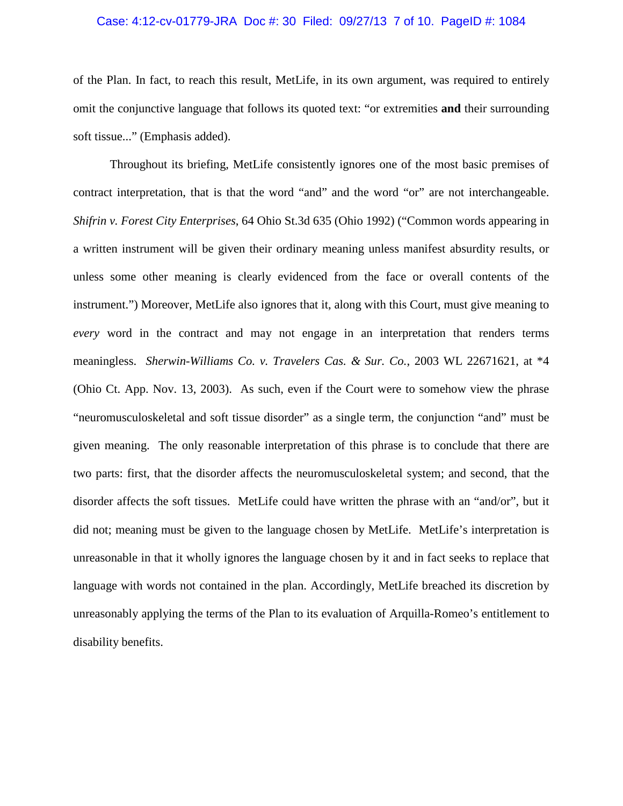### Case: 4:12-cv-01779-JRA Doc #: 30 Filed: 09/27/13 7 of 10. PageID #: 1084

of the Plan. In fact, to reach this result, MetLife, in its own argument, was required to entirely omit the conjunctive language that follows its quoted text: "or extremities **and** their surrounding soft tissue..." (Emphasis added).

Throughout its briefing, MetLife consistently ignores one of the most basic premises of contract interpretation, that is that the word "and" and the word "or" are not interchangeable. *Shifrin v. Forest City Enterprises*, 64 Ohio St.3d 635 (Ohio 1992) ("Common words appearing in a written instrument will be given their ordinary meaning unless manifest absurdity results, or unless some other meaning is clearly evidenced from the face or overall contents of the instrument.") Moreover, MetLife also ignores that it, along with this Court, must give meaning to *every* word in the contract and may not engage in an interpretation that renders terms meaningless. *Sherwin-Williams Co. v. Travelers Cas. & Sur. Co.*, 2003 WL 22671621, at \*4 (Ohio Ct. App. Nov. 13, 2003). As such, even if the Court were to somehow view the phrase "neuromusculoskeletal and soft tissue disorder" as a single term, the conjunction "and" must be given meaning. The only reasonable interpretation of this phrase is to conclude that there are two parts: first, that the disorder affects the neuromusculoskeletal system; and second, that the disorder affects the soft tissues. MetLife could have written the phrase with an "and/or", but it did not; meaning must be given to the language chosen by MetLife. MetLife's interpretation is unreasonable in that it wholly ignores the language chosen by it and in fact seeks to replace that language with words not contained in the plan. Accordingly, MetLife breached its discretion by unreasonably applying the terms of the Plan to its evaluation of Arquilla-Romeo's entitlement to disability benefits.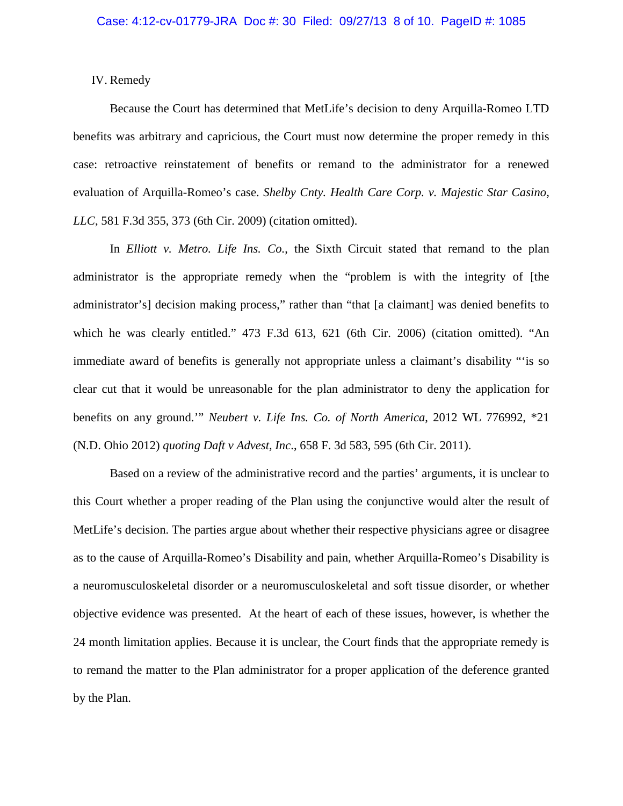IV. Remedy

Because the Court has determined that MetLife's decision to deny Arquilla-Romeo LTD benefits was arbitrary and capricious, the Court must now determine the proper remedy in this case: retroactive reinstatement of benefits or remand to the administrator for a renewed evaluation of Arquilla-Romeo's case. *Shelby Cnty. Health Care Corp. v. Majestic Star Casino, LLC*, 581 F.3d 355, 373 (6th Cir. 2009) (citation omitted).

In *Elliott v. Metro. Life Ins. Co.*, the Sixth Circuit stated that remand to the plan administrator is the appropriate remedy when the "problem is with the integrity of [the administrator's] decision making process," rather than "that [a claimant] was denied benefits to which he was clearly entitled." 473 F.3d 613, 621 (6th Cir. 2006) (citation omitted). "An immediate award of benefits is generally not appropriate unless a claimant's disability "'is so clear cut that it would be unreasonable for the plan administrator to deny the application for benefits on any ground.'" *Neubert v. Life Ins. Co. of North America*, 2012 WL 776992, \*21 (N.D. Ohio 2012) *quoting Daft v Advest, Inc*., 658 F. 3d 583, 595 (6th Cir. 2011).

Based on a review of the administrative record and the parties' arguments, it is unclear to this Court whether a proper reading of the Plan using the conjunctive would alter the result of MetLife's decision. The parties argue about whether their respective physicians agree or disagree as to the cause of Arquilla-Romeo's Disability and pain, whether Arquilla-Romeo's Disability is a neuromusculoskeletal disorder or a neuromusculoskeletal and soft tissue disorder, or whether objective evidence was presented. At the heart of each of these issues, however, is whether the 24 month limitation applies. Because it is unclear, the Court finds that the appropriate remedy is to remand the matter to the Plan administrator for a proper application of the deference granted by the Plan.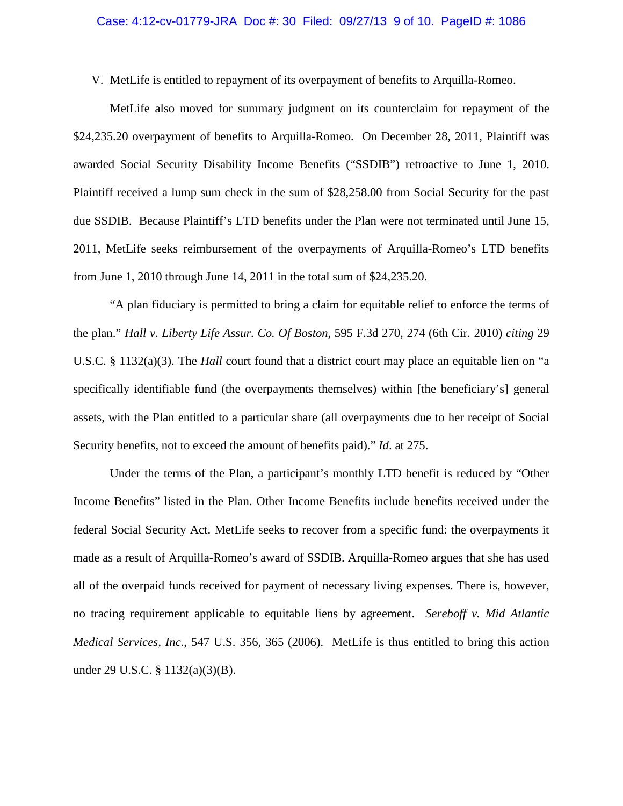### Case: 4:12-cv-01779-JRA Doc #: 30 Filed: 09/27/13 9 of 10. PageID #: 1086

V. MetLife is entitled to repayment of its overpayment of benefits to Arquilla-Romeo.

MetLife also moved for summary judgment on its counterclaim for repayment of the \$24,235.20 overpayment of benefits to Arquilla-Romeo. On December 28, 2011, Plaintiff was awarded Social Security Disability Income Benefits ("SSDIB") retroactive to June 1, 2010. Plaintiff received a lump sum check in the sum of \$28,258.00 from Social Security for the past due SSDIB. Because Plaintiff's LTD benefits under the Plan were not terminated until June 15, 2011, MetLife seeks reimbursement of the overpayments of Arquilla-Romeo's LTD benefits from June 1, 2010 through June 14, 2011 in the total sum of \$24,235.20.

"A plan fiduciary is permitted to bring a claim for equitable relief to enforce the terms of the plan." *Hall v. Liberty Life Assur. Co. Of Boston*, 595 F.3d 270, 274 (6th Cir. 2010) *citing* 29 U.S.C. § 1132(a)(3). The *Hall* court found that a district court may place an equitable lien on "a specifically identifiable fund (the overpayments themselves) within [the beneficiary's] general assets, with the Plan entitled to a particular share (all overpayments due to her receipt of Social Security benefits, not to exceed the amount of benefits paid)." *Id*. at 275.

Under the terms of the Plan, a participant's monthly LTD benefit is reduced by "Other Income Benefits" listed in the Plan. Other Income Benefits include benefits received under the federal Social Security Act. MetLife seeks to recover from a specific fund: the overpayments it made as a result of Arquilla-Romeo's award of SSDIB. Arquilla-Romeo argues that she has used all of the overpaid funds received for payment of necessary living expenses. There is, however, no tracing requirement applicable to equitable liens by agreement. *Sereboff v. Mid Atlantic Medical Services, Inc*., 547 U.S. 356, 365 (2006). MetLife is thus entitled to bring this action under 29 U.S.C. § 1132(a)(3)(B).